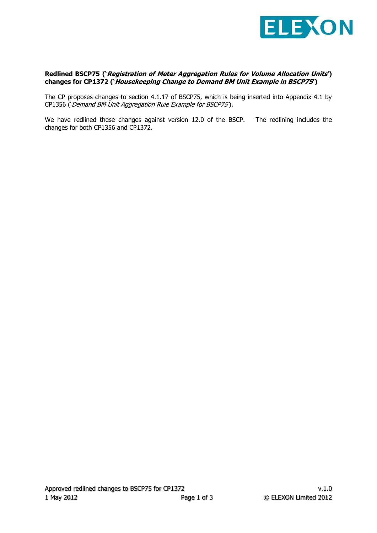

## **Redlined BSCP75 ('Registration of Meter Aggregation Rules for Volume Allocation Units') changes for CP1372 ('Housekeeping Change to Demand BM Unit Example in BSCP75')**

The CP proposes changes to section 4.1.17 of BSCP75, which is being inserted into Appendix 4.1 by CP1356 ('Demand BM Unit Aggregation Rule Example for BSCP75').

We have redlined these changes against version 12.0 of the BSCP. The redlining includes the changes for both CP1356 and CP1372.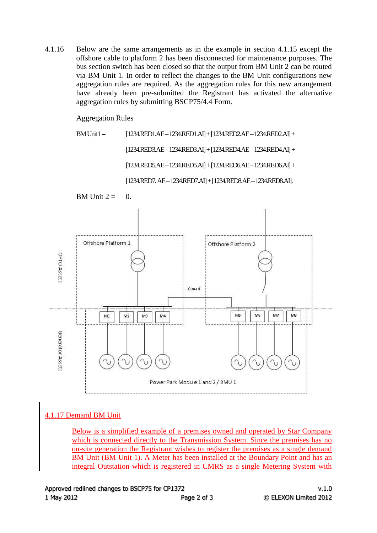4.1.16 Below are the same arrangements as in the example in section 4.1.15 except the offshore cable to platform 2 has been disconnected for maintenance purposes. The bus section switch has been closed so that the output from BM Unit 2 can be routed via BM Unit 1. In order to reflect the changes to the BM Unit configurations new aggregation rules are required. As the aggregation rules for this new arrangement have already been pre-submitted the Registrant has activated the alternative aggregation rules by submitting BSCP75/4.4 Form.

## Aggregation Rules

BM Unit 1 =  $[1234 \text{.RED1} \cdot \text{.AE} - 1234 \text{.RED1} \cdot \text{.AI}] + [1234 \text{.RED2} \cdot \text{.AE} - 1234 \text{.RED2} \cdot \text{.AI}] +$ [1234.RED3.AE –1234.RED3.AI] + [1234.RED4.AE –1234.RED4.AI] + [1234.RED5.AE –1234.RED5.AI] + [1234.RED6.AE –1234.RED6.AI] + [1234.RED7. AE –1234.RED7.AI] + [1234.RED8.AE –1234.RED8.AI].



## 4.1.17 Demand BM Unit

Below is a simplified example of a premises owned and operated by Star Company which is connected directly to the Transmission System. Since the premises has no on-site generation the Registrant wishes to register the premises as a single demand BM Unit (BM Unit 1). A Meter has been installed at the Boundary Point and has an integral Outstation which is registered in CMRS as a single Metering System with